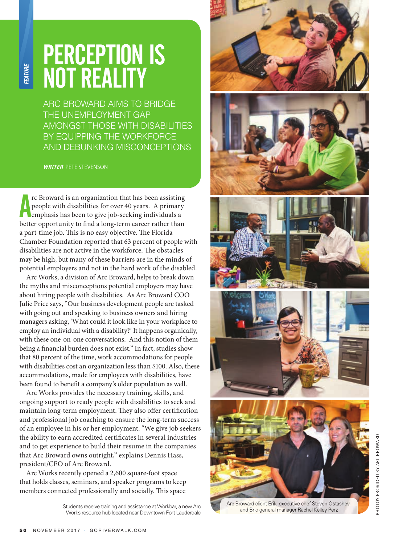## PERCEPTION IS NOT REALITY

ARC BROWARD AIMS TO BRIDGE THE UNEMPLOYMENT GAP AMONGST THOSE WITH DISABILITIES BY EQUIPPING THE WORKFORCE AND DEBUNKING MISCONCEPTIONS

**WRITER** PETE STEVENSON

**FEATURE** 

In the Broward is an organization that has been assisting people with disabilities for over 40 years. A primary emphasis has been to give job-seeking individuals a better opportunity to find a long-term career rather than rc Broward is an organization that has been assisting people with disabilities for over 40 years. A primary emphasis has been to give job-seeking individuals a a part-time job. This is no easy objective. The Florida Chamber Foundation reported that 63 percent of people with disabilities are not active in the workforce. The obstacles may be high, but many of these barriers are in the minds of potential employers and not in the hard work of the disabled.

Arc Works, a division of Arc Broward, helps to break down the myths and misconceptions potential employers may have about hiring people with disabilities. As Arc Broward COO Julie Price says, "Our business development people are tasked with going out and speaking to business owners and hiring managers asking, 'What could it look like in your workplace to employ an individual with a disability?' It happens organically, with these one-on-one conversations. And this notion of them being a financial burden does not exist." In fact, studies show that 80 percent of the time, work accommodations for people with disabilities cost an organization less than \$100. Also, these accommodations, made for employees with disabilities, have been found to benefit a company's older population as well.

Arc Works provides the necessary training, skills, and ongoing support to ready people with disabilities to seek and maintain long-term employment. They also offer certification and professional job coaching to ensure the long-term success of an employee in his or her employment. "We give job seekers the ability to earn accredited certificates in several industries and to get experience to build their resume in the companies that Arc Broward owns outright," explains Dennis Hass, president/CEO of Arc Broward.

Arc Works recently opened a 2,600 square-foot space that holds classes, seminars, and speaker programs to keep members connected professionally and socially. This space

> Students receive training and assistance at Workbar, a new Arc Works resource hub located near Downtown Fort Lauderdale